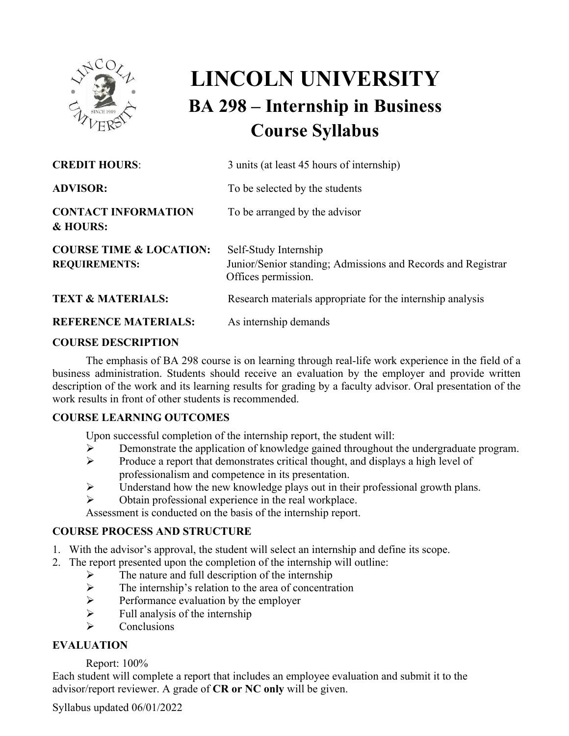

# **LINCOLN UNIVERSITY BA 298 – Internship in Business Course Syllabus**

| <b>CREDIT HOURS:</b>                                       | 3 units (at least 45 hours of internship)                                                                    |
|------------------------------------------------------------|--------------------------------------------------------------------------------------------------------------|
| <b>ADVISOR:</b>                                            | To be selected by the students                                                                               |
| <b>CONTACT INFORMATION</b><br>& HOURS:                     | To be arranged by the advisor                                                                                |
| <b>COURSE TIME &amp; LOCATION:</b><br><b>REQUIREMENTS:</b> | Self-Study Internship<br>Junior/Senior standing; Admissions and Records and Registrar<br>Offices permission. |
| <b>TEXT &amp; MATERIALS:</b>                               | Research materials appropriate for the internship analysis                                                   |
| <b>REFERENCE MATERIALS:</b>                                | As internship demands                                                                                        |
|                                                            |                                                                                                              |

#### **COURSE DESCRIPTION**

The emphasis of BA 298 course is on learning through real-life work experience in the field of a business administration. Students should receive an evaluation by the employer and provide written description of the work and its learning results for grading by a faculty advisor. Oral presentation of the work results in front of other students is recommended.

#### **COURSE LEARNING OUTCOMES**

Upon successful completion of the internship report, the student will:

- $\triangleright$  Demonstrate the application of knowledge gained throughout the undergraduate program.<br>
Produce a report that demonstrates critical thought, and displays a high level of
- Produce a report that demonstrates critical thought, and displays a high level of professionalism and competence in its presentation.
- $\triangleright$  Understand how the new knowledge plays out in their professional growth plans.
- $\triangleright$  Obtain professional experience in the real workplace.

Assessment is conducted on the basis of the internship report.

### **COURSE PROCESS AND STRUCTURE**

- 1. With the advisor's approval, the student will select an internship and define its scope.
- 2. The report presented upon the completion of the internship will outline:
	- $\triangleright$  The nature and full description of the internship
	- $\triangleright$  The internship's relation to the area of concentration
	- $\triangleright$  Performance evaluation by the employer
	- $\triangleright$  Full analysis of the internship
	- **Conclusions**

### **EVALUATION**

### Report: 100%

Each student will complete a report that includes an employee evaluation and submit it to the advisor/report reviewer. A grade of **CR or NC only** will be given.

Syllabus updated 06/01/2022